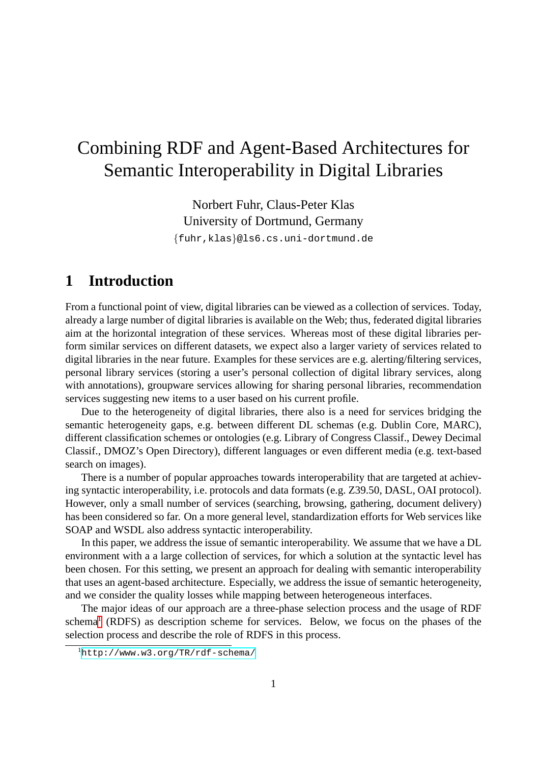# Combining RDF and Agent-Based Architectures for Semantic Interoperability in Digital Libraries

Norbert Fuhr, Claus-Peter Klas University of Dortmund, Germany

{fuhr,klas}@ls6.cs.uni-dortmund.de

## **1 Introduction**

From a functional point of view, digital libraries can be viewed as a collection of services. Today, already a large number of digital libraries is available on the Web; thus, federated digital libraries aim at the horizontal integration of these services. Whereas most of these digital libraries perform similar services on different datasets, we expect also a larger variety of services related to digital libraries in the near future. Examples for these services are e.g. alerting/filtering services, personal library services (storing a user's personal collection of digital library services, along with annotations), groupware services allowing for sharing personal libraries, recommendation services suggesting new items to a user based on his current profile.

Due to the heterogeneity of digital libraries, there also is a need for services bridging the semantic heterogeneity gaps, e.g. between different DL schemas (e.g. Dublin Core, MARC), different classification schemes or ontologies (e.g. Library of Congress Classif., Dewey Decimal Classif., DMOZ's Open Directory), different languages or even different media (e.g. text-based search on images).

There is a number of popular approaches towards interoperability that are targeted at achieving syntactic interoperability, i.e. protocols and data formats (e.g. Z39.50, DASL, OAI protocol). However, only a small number of services (searching, browsing, gathering, document delivery) has been considered so far. On a more general level, standardization efforts for Web services like SOAP and WSDL also address syntactic interoperability.

In this paper, we address the issue of semantic interoperability. We assume that we have a DL environment with a a large collection of services, for which a solution at the syntactic level has been chosen. For this setting, we present an approach for dealing with semantic interoperability that uses an agent-based architecture. Especially, we address the issue of semantic heterogeneity, and we consider the quality losses while mapping between heterogeneous interfaces.

The major ideas of our approach are a three-phase selection process and the usage of RDF schema<sup>[1](#page-0-0)</sup> (RDFS) as description scheme for services. Below, we focus on the phases of the selection process and describe the role of RDFS in this process.

<span id="page-0-0"></span><sup>1</sup><http://www.w3.org/TR/rdf-schema/>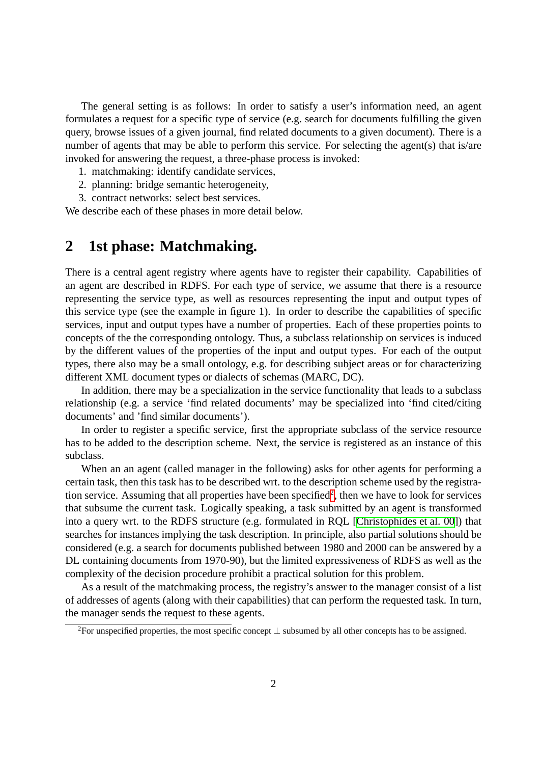The general setting is as follows: In order to satisfy a user's information need, an agent formulates a request for a specific type of service (e.g. search for documents fulfilling the given query, browse issues of a given journal, find related documents to a given document). There is a number of agents that may be able to perform this service. For selecting the agent(s) that is/are invoked for answering the request, a three-phase process is invoked:

- 1. matchmaking: identify candidate services,
- 2. planning: bridge semantic heterogeneity,
- 3. contract networks: select best services.

We describe each of these phases in more detail below.

## **2 1st phase: Matchmaking.**

There is a central agent registry where agents have to register their capability. Capabilities of an agent are described in RDFS. For each type of service, we assume that there is a resource representing the service type, as well as resources representing the input and output types of this service type (see the example in figure 1). In order to describe the capabilities of specific services, input and output types have a number of properties. Each of these properties points to concepts of the the corresponding ontology. Thus, a subclass relationship on services is induced by the different values of the properties of the input and output types. For each of the output types, there also may be a small ontology, e.g. for describing subject areas or for characterizing different XML document types or dialects of schemas (MARC, DC).

In addition, there may be a specialization in the service functionality that leads to a subclass relationship (e.g. a service 'find related documents' may be specialized into 'find cited/citing documents' and 'find similar documents').

In order to register a specific service, first the appropriate subclass of the service resource has to be added to the description scheme. Next, the service is registered as an instance of this subclass.

When an an agent (called manager in the following) asks for other agents for performing a certain task, then this task has to be described wrt. to the description scheme used by the registra-tion service. Assuming that all properties have been specified<sup>[2](#page-1-0)</sup>, then we have to look for services that subsume the current task. Logically speaking, a task submitted by an agent is transformed into a query wrt. to the RDFS structure (e.g. formulated in RQL [\[Christophides et al. 00](#page-4-0)]) that searches for instances implying the task description. In principle, also partial solutions should be considered (e.g. a search for documents published between 1980 and 2000 can be answered by a DL containing documents from 1970-90), but the limited expressiveness of RDFS as well as the complexity of the decision procedure prohibit a practical solution for this problem.

As a result of the matchmaking process, the registry's answer to the manager consist of a list of addresses of agents (along with their capabilities) that can perform the requested task. In turn, the manager sends the request to these agents.

<span id="page-1-0"></span><sup>&</sup>lt;sup>2</sup>For unspecified properties, the most specific concept  $\perp$  subsumed by all other concepts has to be assigned.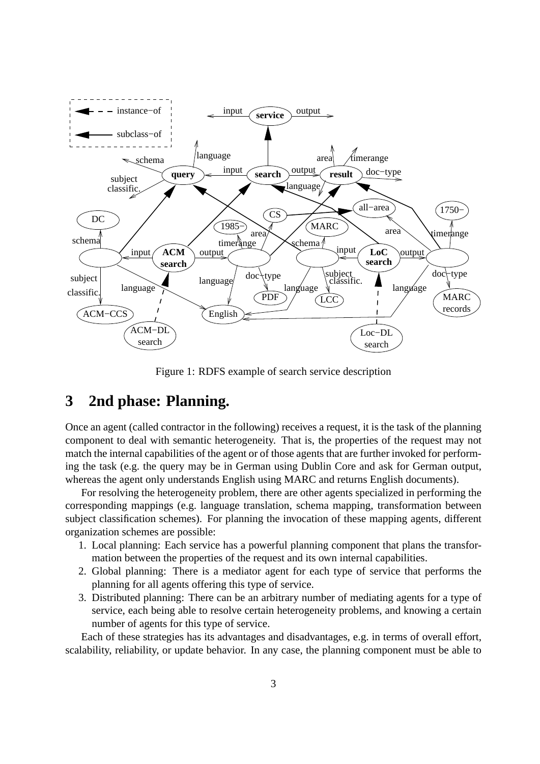

Figure 1: RDFS example of search service description

## **3 2nd phase: Planning.**

Once an agent (called contractor in the following) receives a request, it is the task of the planning component to deal with semantic heterogeneity. That is, the properties of the request may not match the internal capabilities of the agent or of those agents that are further invoked for performing the task (e.g. the query may be in German using Dublin Core and ask for German output, whereas the agent only understands English using MARC and returns English documents).

For resolving the heterogeneity problem, there are other agents specialized in performing the corresponding mappings (e.g. language translation, schema mapping, transformation between subject classification schemes). For planning the invocation of these mapping agents, different organization schemes are possible:

- 1. Local planning: Each service has a powerful planning component that plans the transformation between the properties of the request and its own internal capabilities.
- 2. Global planning: There is a mediator agent for each type of service that performs the planning for all agents offering this type of service.
- 3. Distributed planning: There can be an arbitrary number of mediating agents for a type of service, each being able to resolve certain heterogeneity problems, and knowing a certain number of agents for this type of service.

Each of these strategies has its advantages and disadvantages, e.g. in terms of overall effort, scalability, reliability, or update behavior. In any case, the planning component must be able to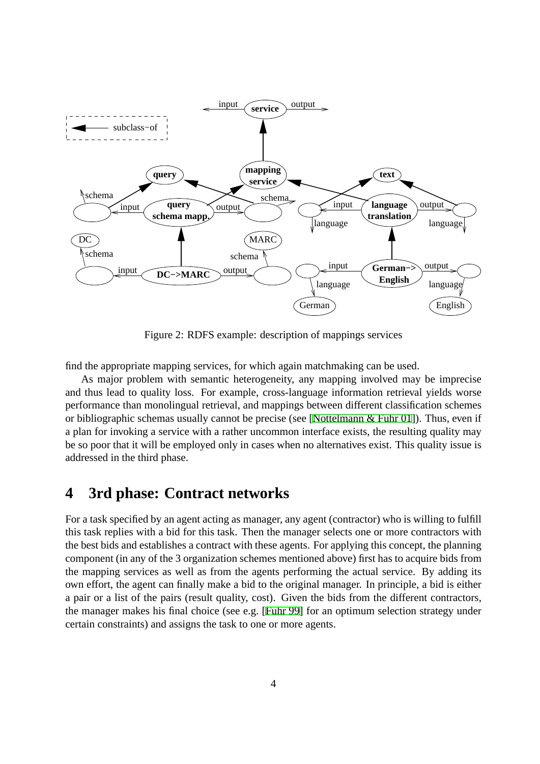

Figure 2: RDFS example: description of mappings services

find the appropriate mapping services, for which again matchmaking can be used.

As major problem with semantic heterogeneity, any mapping involved may be imprecise and thus lead to quality loss. For example, cross-language information retrieval yields worse performance than monolingual retrieval, and mappings between different classification schemes or bibliographic schemas usually cannot be precise (see [[Nottelmann & Fuhr 01](#page-4-1)]). Thus, even if a plan for invoking a service with a rather uncommon interface exists, the resulting quality may be so poor that it will be employed only in cases when no alternatives exist. This quality issue is addressed in the third phase.

## **4 3rd phase: Contract networks**

For a task specified by an agent acting as manager, any agent (contractor) who is willing to fulfill this task replies with a bid for this task. Then the manager selects one or more contractors with the best bids and establishes a contract with these agents. For applying this concept, the planning component (in any of the 3 organization schemes mentioned above) first has to acquire bids from the mapping services as well as from the agents performing the actual service. By adding its own effort, the agent can finally make a bid to the original manager. In principle, a bid is either a pair or a list of the pairs (result quality, cost). Given the bids from the different contractors, the manager makes his final choice (see e.g. [[Fuhr 99](#page-4-2)] for an optimum selection strategy under certain constraints) and assigns the task to one or more agents.